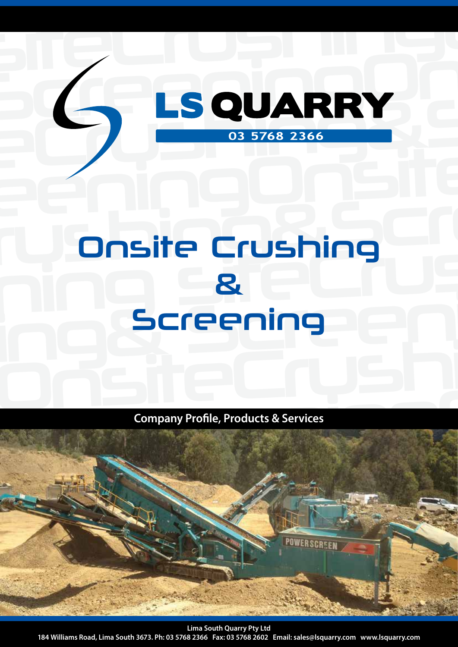# rushing ning site Crushing<br>Animal site<br>Creasains ing Screening bhaic Crush Onsite Crushing & Screening

siteCrushing&

SCREEN SCREENING

eCrushing&Scr

eeningOnsite

**Company Profile, Products & Services**



**Lima South Quarry Pty Ltd 184 Williams Road, Lima South 3673. Ph: 03 5768 2366 Fax: 03 5768 2602 Email: sales@lsquarry.com www.lsquarry.com**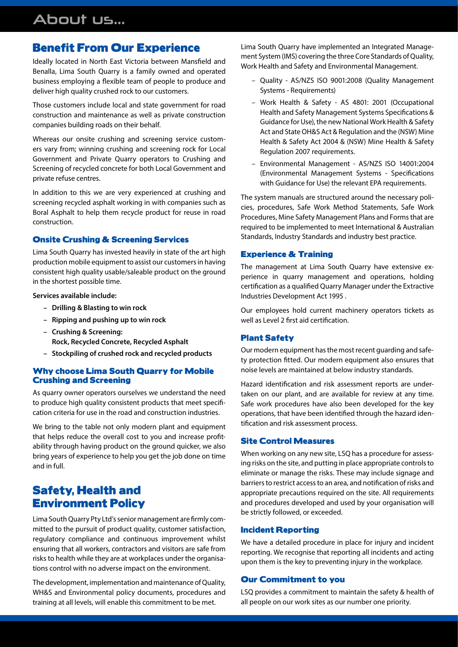# About us...

### Benefit From Our Experience

Ideally located in North East Victoria between Mansfield and Benalla, Lima South Quarry is a family owned and operated business employing a flexible team of people to produce and deliver high quality crushed rock to our customers.

Those customers include local and state government for road construction and maintenance as well as private construction companies building roads on their behalf.

Whereas our onsite crushing and screening service customers vary from; winning crushing and screening rock for Local Government and Private Quarry operators to Crushing and Screening of recycled concrete for both Local Government and private refuse centres.

In addition to this we are very experienced at crushing and screening recycled asphalt working in with companies such as Boral Asphalt to help them recycle product for reuse in road construction.

### Onsite Crushing & Screening Services

Lima South Quarry has invested heavily in state of the art high production mobile equipment to assist our customers in having consistent high quality usable/saleable product on the ground in the shortest possible time.

**Services available include:**

- **Drilling & Blasting to win rock**
- **Ripping and pushing up to win rock**
- **– Crushing & Screening: Rock, Recycled Concrete, Recycled Asphalt**
- **Stockpiling of crushed rock and recycled products**

### Why choose Lima South Quarry for Mobile Crushing and Screening

As quarry owner operators ourselves we understand the need to produce high quality consistent products that meet specification criteria for use in the road and construction industries.

We bring to the table not only modern plant and equipment that helps reduce the overall cost to you and increase profitability through having product on the ground quicker, we also bring years of experience to help you get the job done on time and in full.

### Safety, Health and Environment Policy

Lima South Quarry Pty Ltd's senior management are firmly committed to the pursuit of product quality, customer satisfaction, regulatory compliance and continuous improvement whilst ensuring that all workers, contractors and visitors are safe from risks to health while they are at workplaces under the organisations control with no adverse impact on the environment.

The development, implementation and maintenance of Quality, WH&S and Environmental policy documents, procedures and training at all levels, will enable this commitment to be met.

Lima South Quarry have implemented an Integrated Management System (IMS) covering the three Core Standards of Quality, Work Health and Safety and Environmental Management.

- Quality AS/NZS ISO 9001:2008 (Quality Management Systems - Requirements)
- Work Health & Safety AS 4801: 2001 (Occupational Health and Safety Management Systems Specifications & Guidance for Use), the new National Work Health & Safety Act and State OH&S Act & Regulation and the (NSW) Mine Health & Safety Act 2004 & (NSW) Mine Health & Safety Regulation 2007 requirements.
- Environmental Management AS/NZS ISO 14001:2004 (Environmental Management Systems - Specifications with Guidance for Use) the relevant EPA requirements.

The system manuals are structured around the necessary policies, procedures, Safe Work Method Statements, Safe Work Procedures, Mine Safety Management Plans and Forms that are required to be implemented to meet International & Australian Standards, Industry Standards and industry best practice.

### Experience & Training

The management at Lima South Quarry have extensive experience in quarry management and operations, holding certification as a qualified Quarry Manager under the Extractive Industries Development Act 1995 .

Our employees hold current machinery operators tickets as well as Level 2 first aid certification.

### Plant Safety

Our modern equipment has the most recent guarding and safety protection fitted. Our modern equipment also ensures that noise levels are maintained at below industry standards.

Hazard identification and risk assessment reports are undertaken on our plant, and are available for review at any time. Safe work procedures have also been developed for the key operations, that have been identified through the hazard identification and risk assessment process.

### Site Control Measures

When working on any new site, LSQ has a procedure for assessing risks on the site, and putting in place appropriate controls to eliminate or manage the risks. These may include signage and barriers to restrict access to an area, and notification of risks and appropriate precautions required on the site. All requirements and procedures developed and used by your organisation will be strictly followed, or exceeded.

### Incident Reporting

We have a detailed procedure in place for injury and incident reporting. We recognise that reporting all incidents and acting upon them is the key to preventing injury in the workplace.

### Our Commitment to you

LSQ provides a commitment to maintain the safety & health of all people on our work sites as our number one priority.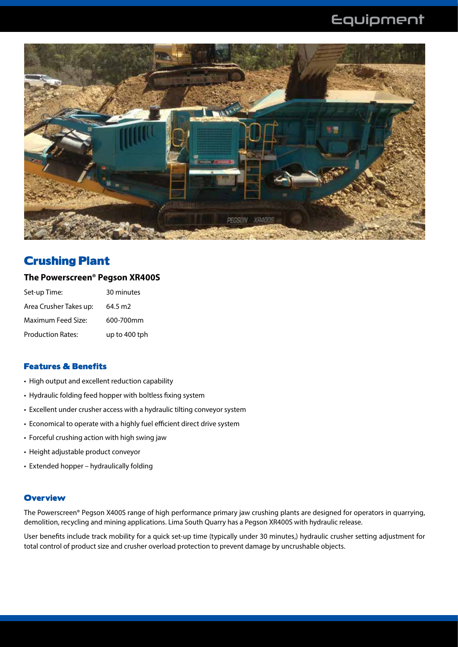

### Crushing Plant

### **The Powerscreen® Pegson XR400S**

| Set-up Time:             | 30 minutes    |
|--------------------------|---------------|
| Area Crusher Takes up:   | 64.5 m2       |
| Maximum Feed Size:       | 600-700mm     |
| <b>Production Rates:</b> | up to 400 tph |

### Features & Benefits

- High output and excellent reduction capability
- Hydraulic folding feed hopper with boltless fixing system
- Excellent under crusher access with a hydraulic tilting conveyor system
- Economical to operate with a highly fuel efficient direct drive system
- Forceful crushing action with high swing jaw
- Height adjustable product conveyor
- Extended hopper hydraulically folding

### **Overview**

The Powerscreen® Pegson X400S range of high performance primary jaw crushing plants are designed for operators in quarrying, demolition, recycling and mining applications. Lima South Quarry has a Pegson XR400S with hydraulic release.

User benefits include track mobility for a quick set-up time (typically under 30 minutes,) hydraulic crusher setting adjustment for total control of product size and crusher overload protection to prevent damage by uncrushable objects.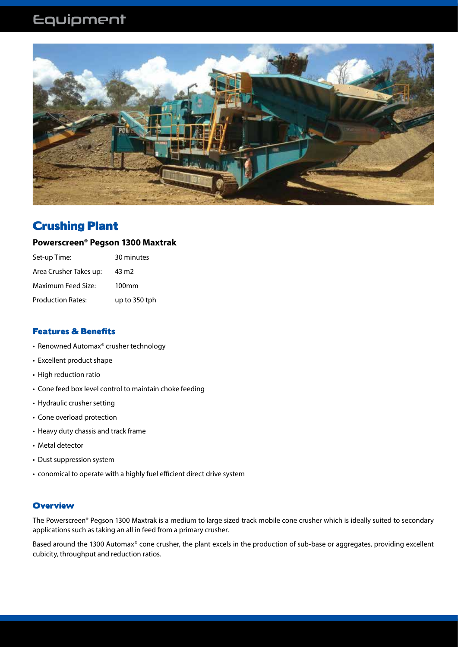

### Crushing Plant

### **Powerscreen® Pegson 1300 Maxtrak**

| Set-up Time:             | 30 minutes        |
|--------------------------|-------------------|
| Area Crusher Takes up:   | 43 m <sub>2</sub> |
| Maximum Feed Size:       | 100 <sub>mm</sub> |
| <b>Production Rates:</b> | up to 350 tph     |

### Features & Benefits

- Renowned Automax® crusher technology
- Excellent product shape
- High reduction ratio
- Cone feed box level control to maintain choke feeding
- Hydraulic crusher setting
- Cone overload protection
- Heavy duty chassis and track frame
- Metal detector
- Dust suppression system
- conomical to operate with a highly fuel efficient direct drive system

### **Overview**

The Powerscreen® Pegson 1300 Maxtrak is a medium to large sized track mobile cone crusher which is ideally suited to secondary applications such as taking an all in feed from a primary crusher.

Based around the 1300 Automax® cone crusher, the plant excels in the production of sub-base or aggregates, providing excellent cubicity, throughput and reduction ratios.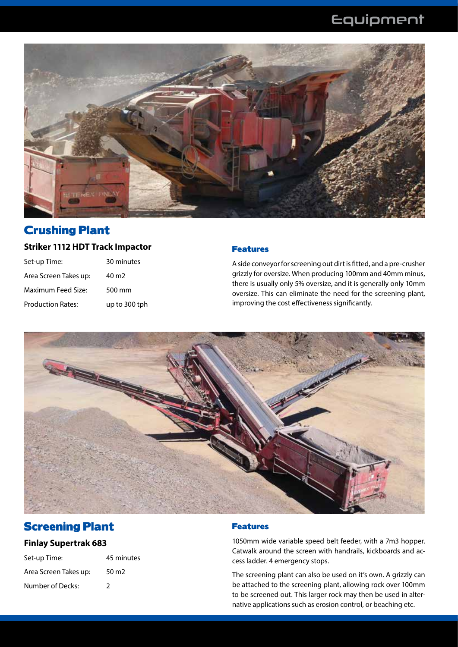

### Crushing Plant

### **Striker 1112 HDT Track Impactor**

| Set-up Time:             | 30 minutes    |
|--------------------------|---------------|
| Area Screen Takes up:    | 40 m2         |
| Maximum Feed Size:       | 500 mm        |
| <b>Production Rates:</b> | up to 300 tph |

### Features

A side conveyor for screening out dirt is fitted, and a pre-crusher grizzly for oversize. When producing 100mm and 40mm minus, there is usually only 5% oversize, and it is generally only 10mm oversize. This can eliminate the need for the screening plant, improving the cost effectiveness significantly.



### Screening Plant

### **Finlay Supertrak 683**

| Set-up Time:          | 45 minutes        |
|-----------------------|-------------------|
| Area Screen Takes up: | 50 m <sub>2</sub> |
| Number of Decks:      | 2                 |

### Features

1050mm wide variable speed belt feeder, with a 7m3 hopper. Catwalk around the screen with handrails, kickboards and access ladder. 4 emergency stops.

The screening plant can also be used on it's own. A grizzly can be attached to the screening plant, allowing rock over 100mm to be screened out. This larger rock may then be used in alternative applications such as erosion control, or beaching etc.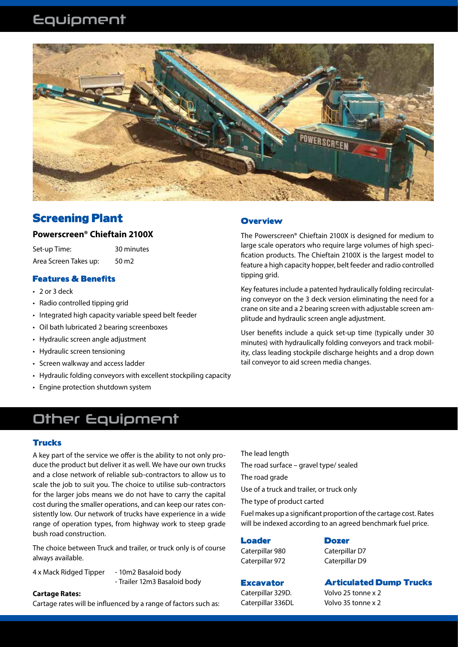

### Screening Plant

### **Powerscreen® Chieftain 2100X**

Set-up Time: 30 minutes Area Screen Takes up: 50 m2

### Features & Benefits

- 2 or 3 deck
- Radio controlled tipping grid
- Integrated high capacity variable speed belt feeder
- Oil bath lubricated 2 bearing screenboxes
- Hydraulic screen angle adjustment
- Hydraulic screen tensioning
- Screen walkway and access ladder
- Hydraulic folding conveyors with excellent stockpiling capacity
- Engine protection shutdown system

### **Overview**

The Powerscreen® Chieftain 2100X is designed for medium to large scale operators who require large volumes of high specification products. The Chieftain 2100X is the largest model to feature a high capacity hopper, belt feeder and radio controlled tipping grid.

Key features include a patented hydraulically folding recirculating conveyor on the 3 deck version eliminating the need for a crane on site and a 2 bearing screen with adjustable screen amplitude and hydraulic screen angle adjustment.

User benefits include a quick set-up time (typically under 30 minutes) with hydraulically folding conveyors and track mobility, class leading stockpile discharge heights and a drop down tail conveyor to aid screen media changes.

## Other Equipment

#### **Trucks**

A key part of the service we offer is the ability to not only produce the product but deliver it as well. We have our own trucks and a close network of reliable sub-contractors to allow us to scale the job to suit you. The choice to utilise sub-contractors for the larger jobs means we do not have to carry the capital cost during the smaller operations, and can keep our rates consistently low. Our network of trucks have experience in a wide range of operation types, from highway work to steep grade bush road construction.

The choice between Truck and trailer, or truck only is of course always available.

4 x Mack Ridged Tipper - 10m2 Basaloid body

- Trailer 12m3 Basaloid body

#### **Cartage Rates:**

Cartage rates will be influenced by a range of factors such as:

The lead length

The road surface – gravel type/ sealed

The road grade

Use of a truck and trailer, or truck only

The type of product carted

Fuel makes up a significant proportion of the cartage cost. Rates will be indexed according to an agreed benchmark fuel price.

### Loader

Caterpillar 980 Caterpillar 972

**Excavator** 

**Dozer** Caterpillar D7 Caterpillar D9

### Articulated Dump Trucks

Caterpillar 329D. Caterpillar 336DL Volvo 25 tonne x 2 Volvo 35 tonne x 2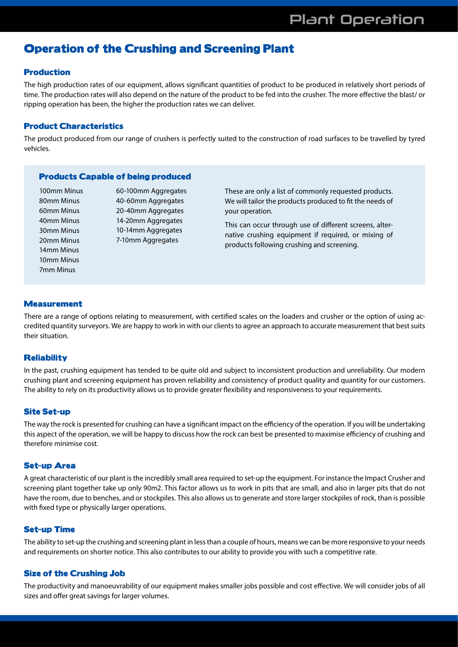### Operation of the Crushing and Screening Plant

### Production

The high production rates of our equipment, allows significant quantities of product to be produced in relatively short periods of time. The production rates will also depend on the nature of the product to be fed into the crusher. The more effective the blast/ or ripping operation has been, the higher the production rates we can deliver.

#### Product Characteristics

The product produced from our range of crushers is perfectly suited to the construction of road surfaces to be travelled by tyred vehicles.

#### Products Capable of being produced

100mm Minus 80mm Minus 60mm Minus 40mm Minus 30mm Minus 20mm Minus 14mm Minus 10mm Minus 7mm Minus

60-100mm Aggregates 40-60mm Aggregates 20-40mm Aggregates 14-20mm Aggregates 10-14mm Aggregates 7-10mm Aggregates

These are only a list of commonly requested products. We will tailor the products produced to fit the needs of your operation.

This can occur through use of different screens, alternative crushing equipment if required, or mixing of products following crushing and screening.

### Measurement

There are a range of options relating to measurement, with certified scales on the loaders and crusher or the option of using accredited quantity surveyors. We are happy to work in with our clients to agree an approach to accurate measurement that best suits their situation.

### **Reliability**

In the past, crushing equipment has tended to be quite old and subject to inconsistent production and unreliability. Our modern crushing plant and screening equipment has proven reliability and consistency of product quality and quantity for our customers. The ability to rely on its productivity allows us to provide greater flexibility and responsiveness to your requirements.

### Site Set-up

The way the rock is presented for crushing can have a significant impact on the efficiency of the operation. If you will be undertaking this aspect of the operation, we will be happy to discuss how the rock can best be presented to maximise efficiency of crushing and therefore minimise cost.

#### Set-up Area

A great characteristic of our plant is the incredibly small area required to set-up the equipment. For instance the Impact Crusher and screening plant together take up only 90m2. This factor allows us to work in pits that are small, and also in larger pits that do not have the room, due to benches, and or stockpiles. This also allows us to generate and store larger stockpiles of rock, than is possible with fixed type or physically larger operations.

#### Set-up Time

The ability to set-up the crushing and screening plant in less than a couple of hours, means we can be more responsive to your needs and requirements on shorter notice. This also contributes to our ability to provide you with such a competitive rate.

### Size of the Crushing Job

The productivity and manoeuvrability of our equipment makes smaller jobs possible and cost effective. We will consider jobs of all sizes and offer great savings for larger volumes.